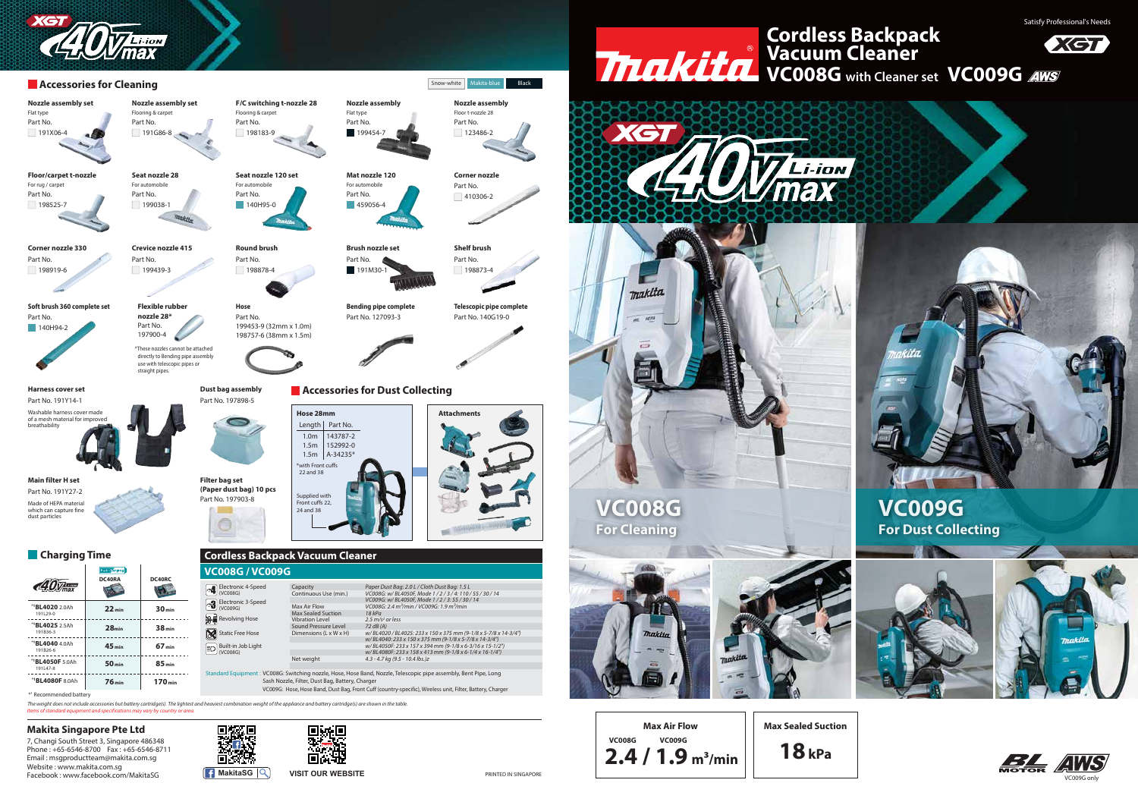

**Max Sealed Suction**

**18kPa**

7, Changi South Street 3, Singapore 486348 Phone : +65-6546-8700 Fax : +65-6546-8711 Email : msgproductteam@makita.com.sg Website : www.makita.com.sg Facebook : www.facebook.com/MakitaSG **MakitaSG MakitaSG VISIT OUR WEBSITE** 



日·陀 回家

Satisfy Professional's Needs









### **Makita Singapore Pte Ltd**

## **VC008G with Cleaner set VC009G Cordless Backpack Vacuum Cleaner**